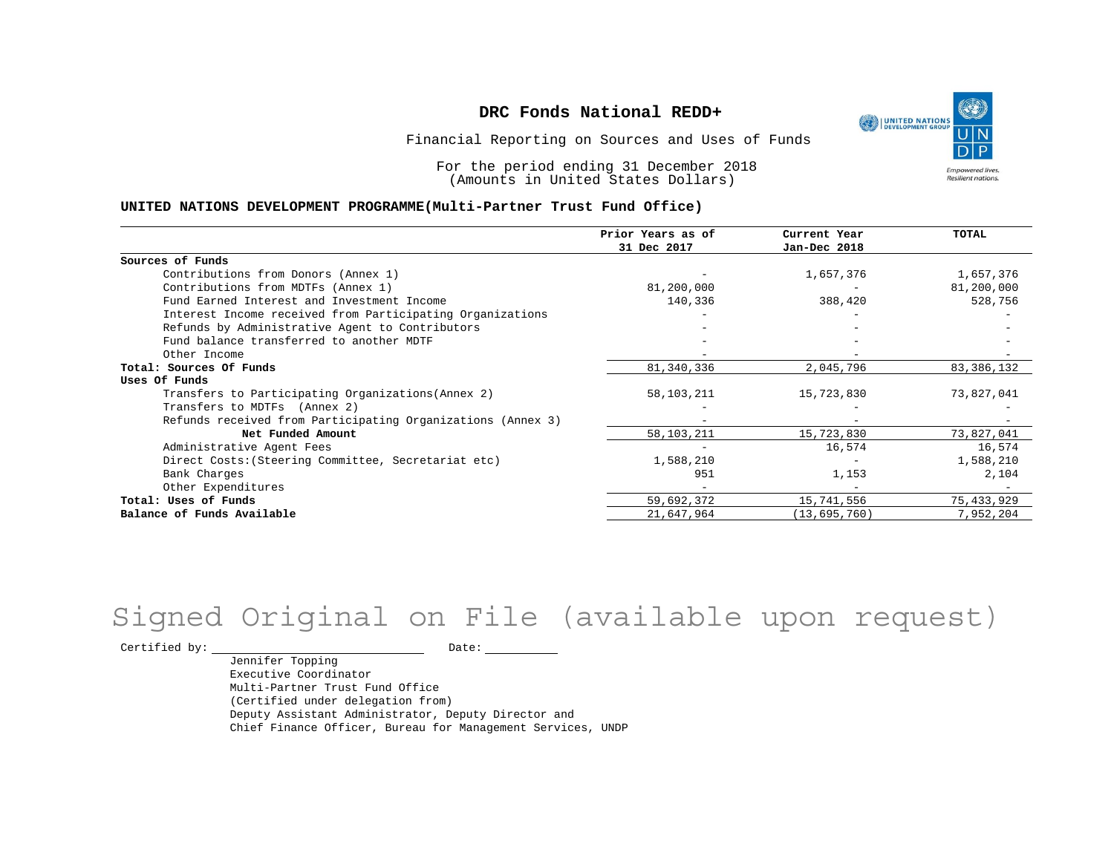UNITED NATIONS **Empowered lives** Resilient nations.

Financial Reporting on Sources and Uses of Funds

For the period ending 31 December 2018 (Amounts in United States Dollars)

#### **UNITED NATIONS DEVELOPMENT PROGRAMME(Multi-Partner Trust Fund Office)**

|                                                             | Prior Years as of<br>31 Dec 2017 | Current Year<br>Jan-Dec 2018 | TOTAL      |
|-------------------------------------------------------------|----------------------------------|------------------------------|------------|
|                                                             |                                  |                              |            |
| Sources of Funds                                            |                                  |                              |            |
| Contributions from Donors (Annex 1)                         |                                  | 1,657,376                    | 1,657,376  |
| Contributions from MDTFs (Annex 1)                          | 81,200,000                       |                              | 81,200,000 |
| Fund Earned Interest and Investment Income                  | 140,336                          | 388,420                      | 528,756    |
| Interest Income received from Participating Organizations   |                                  |                              |            |
| Refunds by Administrative Agent to Contributors             |                                  |                              |            |
| Fund balance transferred to another MDTF                    |                                  |                              |            |
| Other Income                                                |                                  |                              |            |
| Total: Sources Of Funds                                     | 81, 340, 336                     | 2,045,796                    | 83,386,132 |
| Uses Of Funds                                               |                                  |                              |            |
| Transfers to Participating Organizations (Annex 2)          | 58,103,211                       | 15,723,830                   | 73,827,041 |
| Transfers to MDTFs (Annex 2)                                |                                  |                              |            |
| Refunds received from Participating Organizations (Annex 3) |                                  |                              |            |
| Net Funded Amount                                           | 58,103,211                       | 15,723,830                   | 73,827,041 |
| Administrative Agent Fees                                   |                                  | 16,574                       | 16,574     |
| Direct Costs: (Steering Committee, Secretariat etc)         | 1,588,210                        |                              | 1,588,210  |
| Bank Charges                                                | 951                              | 1,153                        | 2,104      |
| Other Expenditures                                          |                                  |                              |            |
| Total: Uses of Funds                                        | 59,692,372                       | 15,741,556                   | 75,433,929 |
| Balance of Funds Available                                  | 21,647,964                       | (13, 695, 760)               | 7,952,204  |

## Signed Original on File (available upon request)

 $\begin{tabular}{cc} \multicolumn{2}{c}{{\texttt{Certified by:}}}} \quad \quad \texttt{Date:} \end{tabular}$ 

Jennifer Topping Executive Coordinator Multi-Partner Trust Fund Office (Certified under delegation from) Deputy Assistant Administrator, Deputy Director and Chief Finance Officer, Bureau for Management Services, UNDP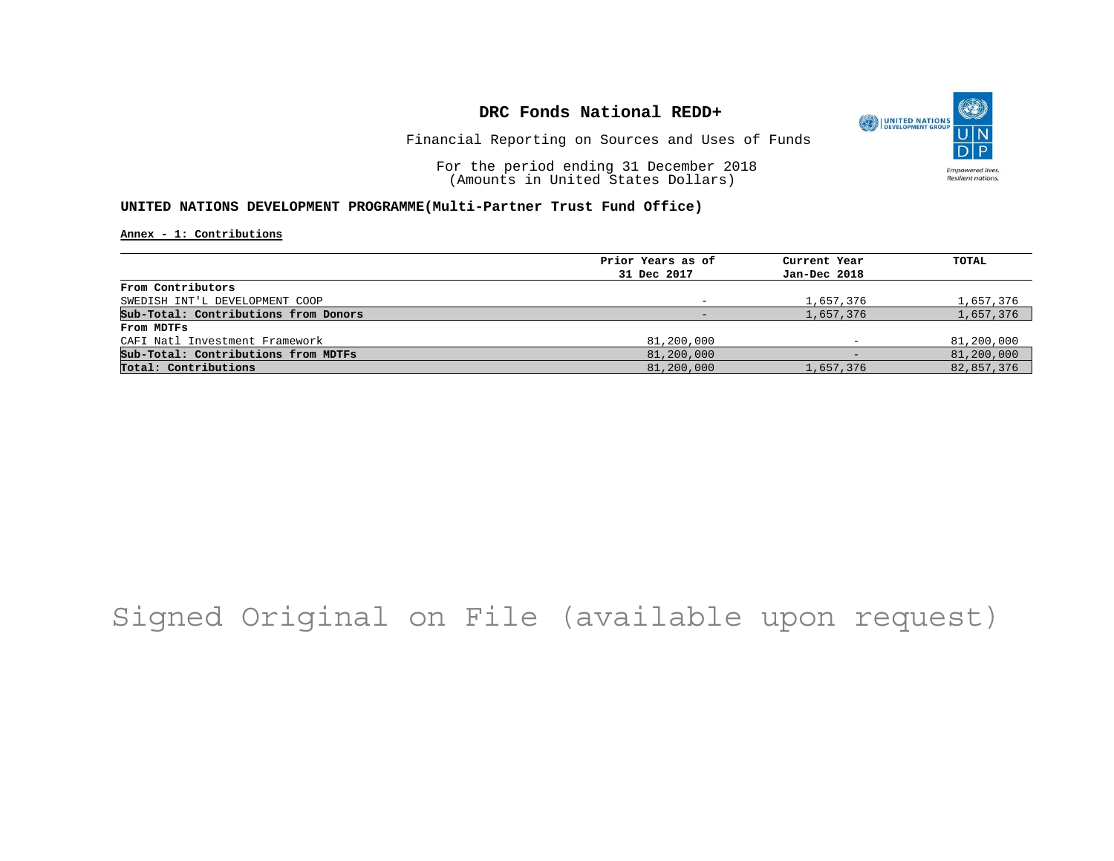

Financial Reporting on Sources and Uses of Funds

For the period ending 31 December 2018 (Amounts in United States Dollars)

#### **UNITED NATIONS DEVELOPMENT PROGRAMME(Multi-Partner Trust Fund Office)**

**Annex - 1: Contributions**

| Prior Years as of | Current Year             | TOTAL      |
|-------------------|--------------------------|------------|
| 31 Dec 2017       | Jan-Dec 2018             |            |
|                   |                          |            |
|                   | 1,657,376                | 1,657,376  |
|                   | 1,657,376                | 1,657,376  |
|                   |                          |            |
| 81,200,000        | $\overline{\phantom{0}}$ | 81,200,000 |
| 81,200,000        | $\qquad \qquad$          | 81,200,000 |
| 81,200,000        | 1,657,376                | 82,857,376 |
|                   |                          |            |

# Signed Original on File (available upon request)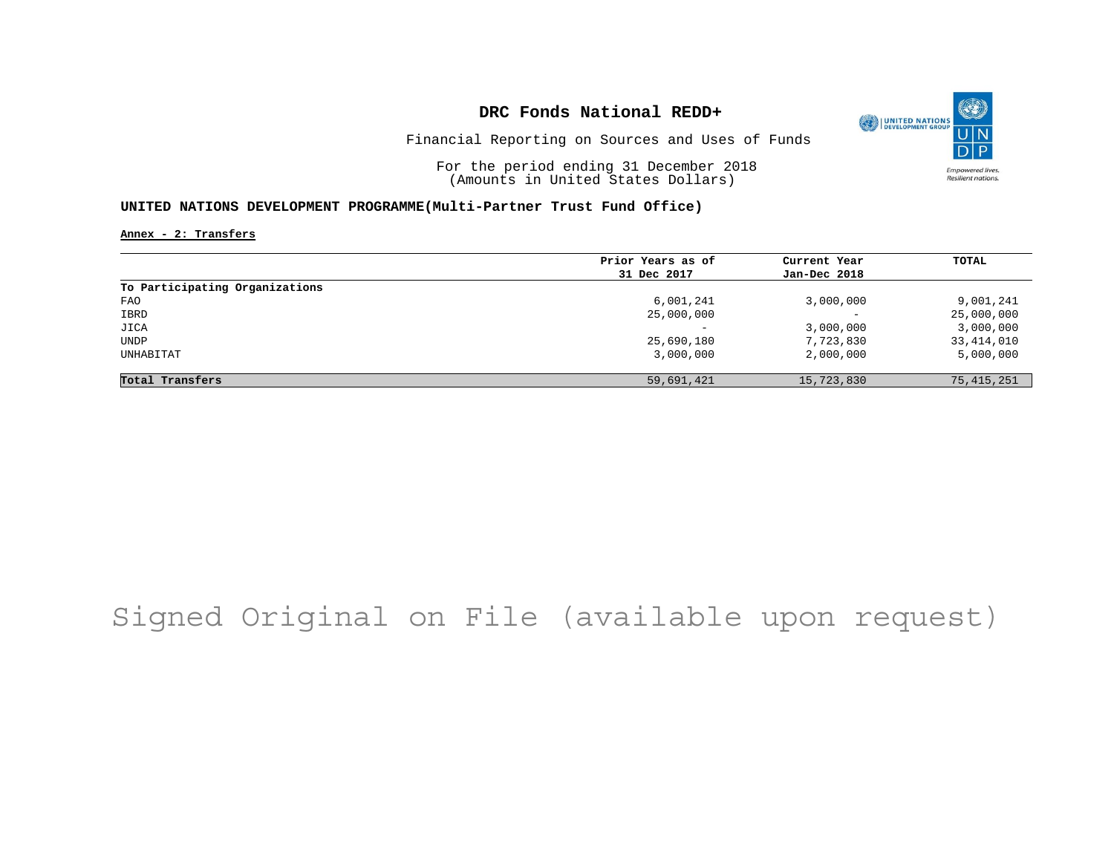

Financial Reporting on Sources and Uses of Funds

For the period ending 31 December 2018 (Amounts in United States Dollars)

#### **UNITED NATIONS DEVELOPMENT PROGRAMME(Multi-Partner Trust Fund Office)**

**Annex - 2: Transfers**

|                                | Prior Years as of        | Current Year             | TOTAL        |
|--------------------------------|--------------------------|--------------------------|--------------|
|                                | 31 Dec 2017              | Jan-Dec 2018             |              |
| To Participating Organizations |                          |                          |              |
| FAO                            | 6,001,241                | 3,000,000                | 9,001,241    |
| IBRD                           | 25,000,000               | $\overline{\phantom{0}}$ | 25,000,000   |
| JICA                           | $\overline{\phantom{0}}$ | 3,000,000                | 3,000,000    |
| UNDP                           | 25,690,180               | 7,723,830                | 33,414,010   |
| UNHABITAT                      | 3,000,000                | 2,000,000                | 5,000,000    |
| Total Transfers                | 59,691,421               | 15,723,830               | 75, 415, 251 |

# Signed Original on File (available upon request)